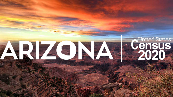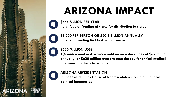# **ARIZONA IMPACT**



**\$675 BILLION PER YEAR total federal funding at stake for distribution to states**



**\$3,000 PER PERSON OR \$20.5 BILLION ANNUALLY in federal funding tied to Arizona census data**

### **\$620 MILLION LOSS**

**1% undercount in Arizona would mean a direct loss of \$62 million annually, or \$620 million over the next decade for critical medical programs that help Arizonans**

### **ARIZONA REPRESENTATION**

**in the United States House of Representatives & state and local political boundaries**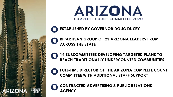



**ESTABLISHED BY GOVERNOR DOUG DUCEY**

**BIPARTISAN GROUP OF 23 ARIZONA LEADERS FROM ACROSS THE STATE**

**14 SUBCOMMITTEES DEVELOPING TARGETED PLANS TO REACH TRADITIONALLY UNDERCOUNTED COMMUNITIES**

**FULL-TIME DIRECTOR OF THE ARIZONA COMPLETE COUNT COMMITTEE WITH ADDITIONAL STAFF SUPPORT** 



**CONTRACTED ADVERTISING & PUBLIC RELATIONS AGENCY**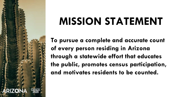## **MISSION STATEMENT**

**To pursue a complete and accurate count of every person residing in Arizona through a statewide effort that educates the public, promotes census participation, and motivates residents to be counted.**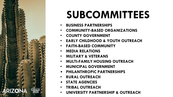

## **SUBCOMMITTEES**

- **BUSINESS PARTNERSHIPS**
- **COMMUNITY-BASED ORGANIZATIONS**
- **COUNTY GOVERNMENT**
- **EARLY CHILDHOOD & YOUTH OUTREACH**
- **FAITH-BASED COMMUNITY**
- **MEDIA RELATIONS**
- **MILITARY & VETERANS**
- **MULTI-FAMILY HOUSING OUTREACH**
- **MUNICIPAL GOVERNMENT**
- **PHILANTHROPIC PARTNERSHIPS**
- **RURAL OUTREACH**
- **STATE AGENCIES**
- **TRIBAL OUTREACH**
- **UNIVERSITY PARTNERSHIP & OUTREACH**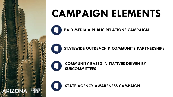

# **CAMPAIGN ELEMENTS**

**PAID MEDIA & PUBLIC RELATIONS CAMPAIGN**

**STATEWIDE OUTREACH & COMMUNITY PARTNERSHIPS**



**COMMUNITY BASED INITIATIVES DRIVEN BY SUBCOMMITTEES**

**STATE AGENCY AWARENESS CAMPAIGN**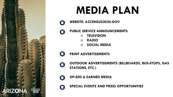

## **MEDIA PLAN**

- **WEBSITE: AZCENSUS2020.GOV**
- **PUBLIC SERVICE ANNOUNCEMENTS** a
	- **TELEVISION**
	- **RADIO**
	- **SOCIAL MEDIA**
	- **PRINT ADVERTISEMENTS**

a

a

- **OUTDOOR ADVERTISEMENTS (BILLBOARDS, BUS-STOPS, GAS**  O **STATIONS, ETC.)**
- **OP-EDS & EARNED MEDIA** a

**SPECIAL EVENTS AND PRESS OPPORTUNITIES**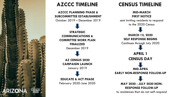

### **AZCCC TIMELINE**

**AZCCC PLANNING PHASE & SUBCOMMITTEE ESTABLISHMENT** October 2019 – December 2019

> **STRATEGIC COMMUNICATIONS & COMMITTEE WORK PLAN FINALIZED**  December 2019

**AZ CENSUS 2020 CAMPAIGN LAUNCH** January 2019

**EDUCATE & ACT PHASE** February 2020-June 2020

### **CENSUS TIMELINE**

**MID-MARCH FIRST NOTICE**

sent inviting residents to respond to the 2020 Census

**MARCH 12, 2020 SELF RESPONSE BEGINS** Continues through July 2020 **APRIL 1 CENSUS DAY MID-APRIL EARLY NON-RESPONSE FOLLOW-UP MAY 2020 - JULY 2020 NON-RESPONSE FOLLOW-UP**

to residences that do not self-respond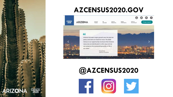

### **AZCENSUS2020.GOV**



## **@AZCENSUS2020**